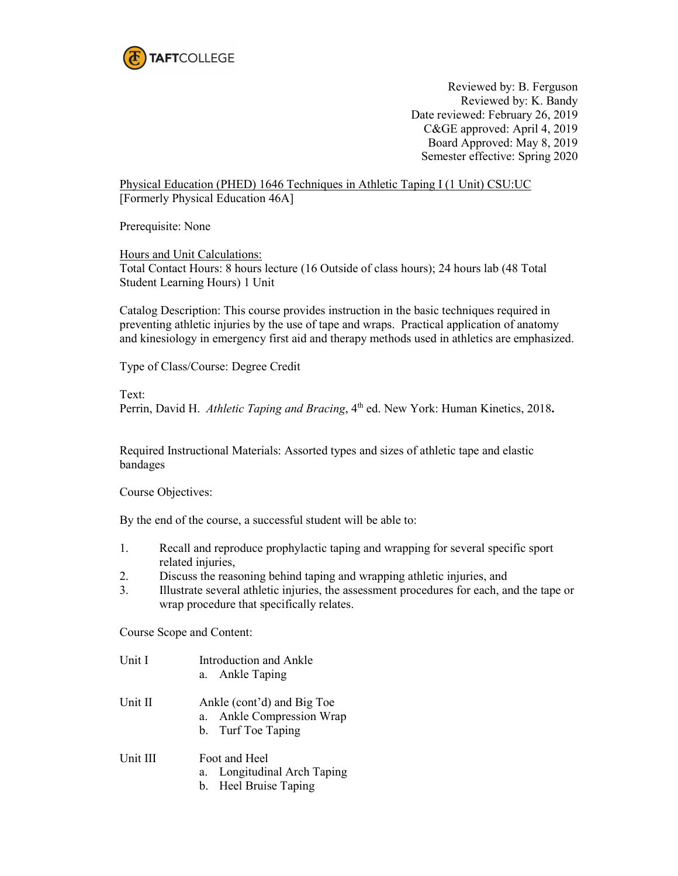

Reviewed by: B. Ferguson Reviewed by: K. Bandy Date reviewed: February 26, 2019 C&GE approved: April 4, 2019 Board Approved: May 8, 2019 Semester effective: Spring 2020

Physical Education (PHED) 1646 Techniques in Athletic Taping I (1 Unit) CSU:UC [Formerly Physical Education 46A]

Prerequisite: None

Hours and Unit Calculations: Total Contact Hours: 8 hours lecture (16 Outside of class hours); 24 hours lab (48 Total Student Learning Hours) 1 Unit

Catalog Description: This course provides instruction in the basic techniques required in preventing athletic injuries by the use of tape and wraps. Practical application of anatomy and kinesiology in emergency first aid and therapy methods used in athletics are emphasized.

Type of Class/Course: Degree Credit

Text:

Perrin, David H. *Athletic Taping and Bracing*, 4<sup>th</sup> ed. New York: Human Kinetics, 2018.

Required Instructional Materials: Assorted types and sizes of athletic tape and elastic bandages

Course Objectives:

By the end of the course, a successful student will be able to:

- 1. Recall and reproduce prophylactic taping and wrapping for several specific sport related injuries,
- 2. Discuss the reasoning behind taping and wrapping athletic injuries, and
- 3. Illustrate several athletic injuries, the assessment procedures for each, and the tape or wrap procedure that specifically relates.

Course Scope and Content:

- Unit I Introduction and Ankle a. Ankle Taping Unit II Ankle (cont'd) and Big Toe a. Ankle Compression Wrap b. Turf Toe Taping Unit III Foot and Heel
	- a. Longitudinal Arch Taping
		- b. Heel Bruise Taping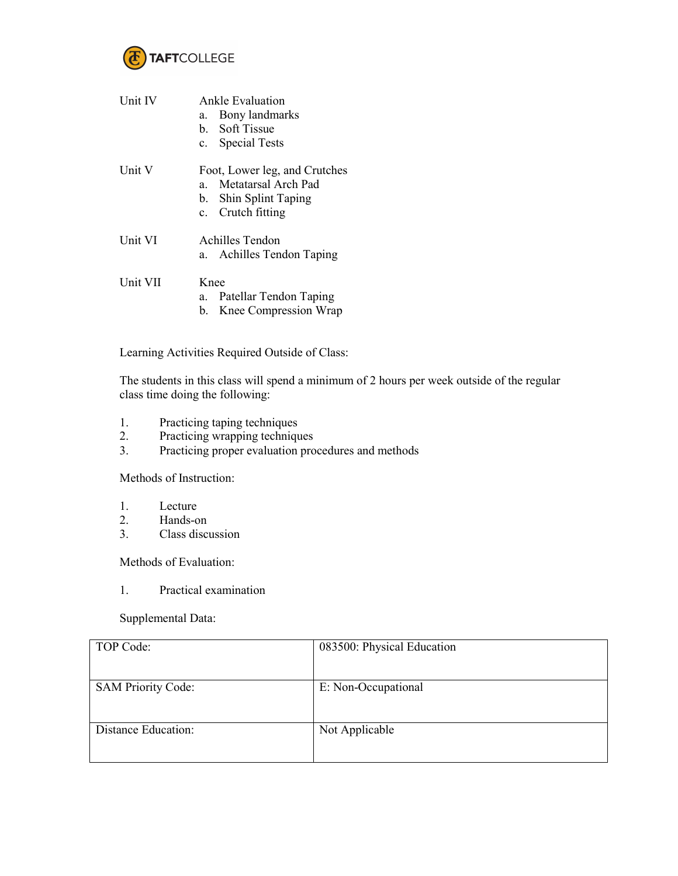

| Unit IV         | Ankle Evaluation<br>Bony landmarks<br>a.<br>b. Soft Tissue<br>c. Special Tests                          |
|-----------------|---------------------------------------------------------------------------------------------------------|
| Unit V          | Foot, Lower leg, and Crutches<br>Metatarsal Arch Pad<br>a<br>b. Shin Splint Taping<br>c. Crutch fitting |
| Unit VI         | Achilles Tendon<br>a. Achilles Tendon Taping                                                            |
| <b>Unit VII</b> | <b>K</b> nee<br>Patellar Tendon Taping<br>а.<br>Knee Compression Wrap<br>b.                             |

Learning Activities Required Outside of Class:

The students in this class will spend a minimum of 2 hours per week outside of the regular class time doing the following:

- 1. Practicing taping techniques
- 2. Practicing wrapping techniques<br>3. Practicing proper evaluation pro
- Practicing proper evaluation procedures and methods

Methods of Instruction:

- 1. Lecture<br>2. Hands-o
- Hands-on
- 3. Class discussion

Methods of Evaluation:

1. Practical examination

Supplemental Data:

| TOP Code:                 | 083500: Physical Education |
|---------------------------|----------------------------|
| <b>SAM Priority Code:</b> | E: Non-Occupational        |
| Distance Education:       | Not Applicable             |